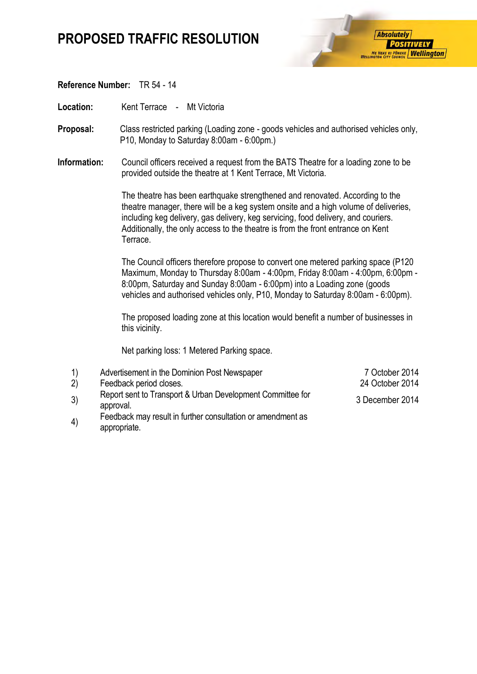## **PROPOSED TRAFFIC RESOLUTION**



### **Reference Number:** TR 54 - 14

Location: Kent Terrace - Mt Victoria

- **Proposal:** Class restricted parking (Loading zone goods vehicles and authorised vehicles only, P10, Monday to Saturday 8:00am - 6:00pm.)
- **Information:** Council officers received a request from the BATS Theatre for a loading zone to be provided outside the theatre at 1 Kent Terrace, Mt Victoria.

The theatre has been earthquake strengthened and renovated. According to the theatre manager, there will be a keg system onsite and a high volume of deliveries, including keg delivery, gas delivery, keg servicing, food delivery, and couriers. Additionally, the only access to the theatre is from the front entrance on Kent Terrace.

The Council officers therefore propose to convert one metered parking space (P120 Maximum, Monday to Thursday 8:00am - 4:00pm, Friday 8:00am - 4:00pm, 6:00pm - 8:00pm, Saturday and Sunday 8:00am - 6:00pm) into a Loading zone (goods vehicles and authorised vehicles only, P10, Monday to Saturday 8:00am - 6:00pm).

The proposed loading zone at this location would benefit a number of businesses in this vicinity.

Net parking loss: 1 Metered Parking space.

| 1)<br>(2) | Advertisement in the Dominion Post Newspaper<br>Feedback period closes. | 7 October 2014<br>24 October 2014 |
|-----------|-------------------------------------------------------------------------|-----------------------------------|
| 3)        | Report sent to Transport & Urban Development Committee for<br>approval. | 3 December 2014                   |
|           | Egadhack may result in further consultation or amondment as             |                                   |

4) Feedback may result in further consultation or amendment as appropriate.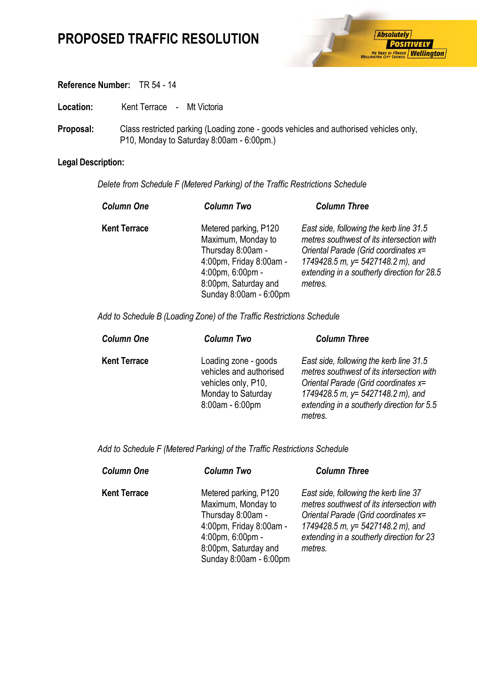# **PROPOSED TRAFFIC RESOLUTION**



### **Reference Number:** TR 54 - 14

Location: Kent Terrace - Mt Victoria

**Proposal:** Class restricted parking (Loading zone - goods vehicles and authorised vehicles only, P10, Monday to Saturday 8:00am - 6:00pm.)

## **Legal Description:**

*Delete from Schedule F (Metered Parking) of the Traffic Restrictions Schedule* 

| <b>Column One</b>   | <b>Column Two</b>                                                                                                                                                                      | <b>Column Three</b>                                                                                                                                                                                                         |
|---------------------|----------------------------------------------------------------------------------------------------------------------------------------------------------------------------------------|-----------------------------------------------------------------------------------------------------------------------------------------------------------------------------------------------------------------------------|
| <b>Kent Terrace</b> | Metered parking, P120<br>Maximum, Monday to<br>Thursday 8:00am -<br>4:00pm, Friday 8:00am -<br>$4:00 \text{pm}$ , 6:00 $\text{pm}$ -<br>8:00pm, Saturday and<br>Sunday 8:00am - 6:00pm | East side, following the kerb line 31.5<br>metres southwest of its intersection with<br>Oriental Parade (Grid coordinates x=<br>1749428.5 m, y= 5427148.2 m), and<br>extending in a southerly direction for 28.5<br>metres. |

*Add to Schedule B (Loading Zone) of the Traffic Restrictions Schedule* 

| <b>Column One</b>   | <b>Column Two</b>                                                                                               | <b>Column Three</b>                                                                                                                                                                                                           |
|---------------------|-----------------------------------------------------------------------------------------------------------------|-------------------------------------------------------------------------------------------------------------------------------------------------------------------------------------------------------------------------------|
| <b>Kent Terrace</b> | Loading zone - goods<br>vehicles and authorised<br>vehicles only, P10,<br>Monday to Saturday<br>8:00am - 6:00pm | East side, following the kerb line 31.5<br>metres southwest of its intersection with<br>Oriental Parade (Grid coordinates x=<br>1749428.5 m, $y = 5427148.2$ m), and<br>extending in a southerly direction for 5.5<br>metres. |

*Add to Schedule F (Metered Parking) of the Traffic Restrictions Schedule* 

| <b>Column One</b>   | <b>Column Two</b>                                                                                                                                                            | <b>Column Three</b>                                                                                                                                                                                                       |
|---------------------|------------------------------------------------------------------------------------------------------------------------------------------------------------------------------|---------------------------------------------------------------------------------------------------------------------------------------------------------------------------------------------------------------------------|
| <b>Kent Terrace</b> | Metered parking, P120<br>Maximum, Monday to<br>Thursday 8:00am -<br>4:00pm, Friday 8:00am -<br>$4:00 \text{pm}$ , 6:00pm -<br>8:00pm, Saturday and<br>Sunday 8:00am - 6:00pm | East side, following the kerb line 37<br>metres southwest of its intersection with<br>Oriental Parade (Grid coordinates x=<br>1749428.5 m, y= $5427148.2$ m), and<br>extending in a southerly direction for 23<br>metres. |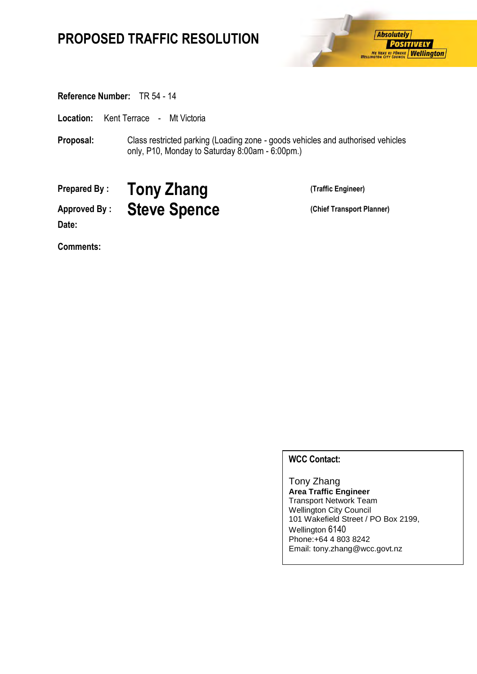# **PROPOSED TRAFFIC RESOLUTION**



**Reference Number:** TR 54 - 14

**Location:** Kent Terrace - Mt Victoria

**Proposal:** Class restricted parking (Loading zone - goods vehicles and authorised vehicles only, P10, Monday to Saturday 8:00am - 6:00pm.)

**Prepared By : Tony Zhang (Traffic Engineer)**

Approved By : **Steve Spence** (Chief Transport Planner) **Date:**

**Comments:**

## **WCC Contact:**

Tony Zhang **Area Traffic Engineer** Transport Network Team Wellington City Council 101 Wakefield Street / PO Box 2199, Wellington 6140 Phone:+64 4 803 8242 Email: tony.zhang@wcc.govt.nz